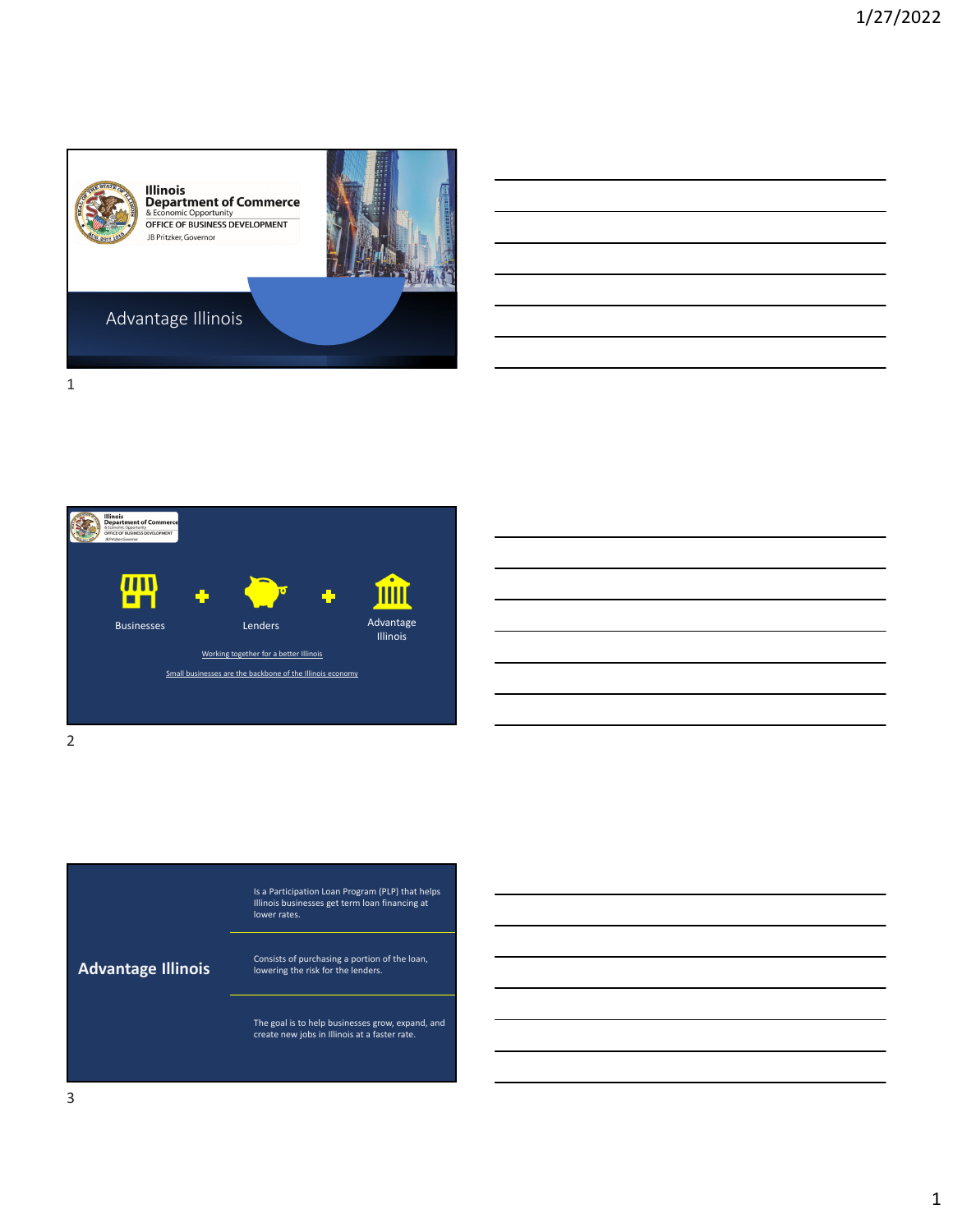

1





2

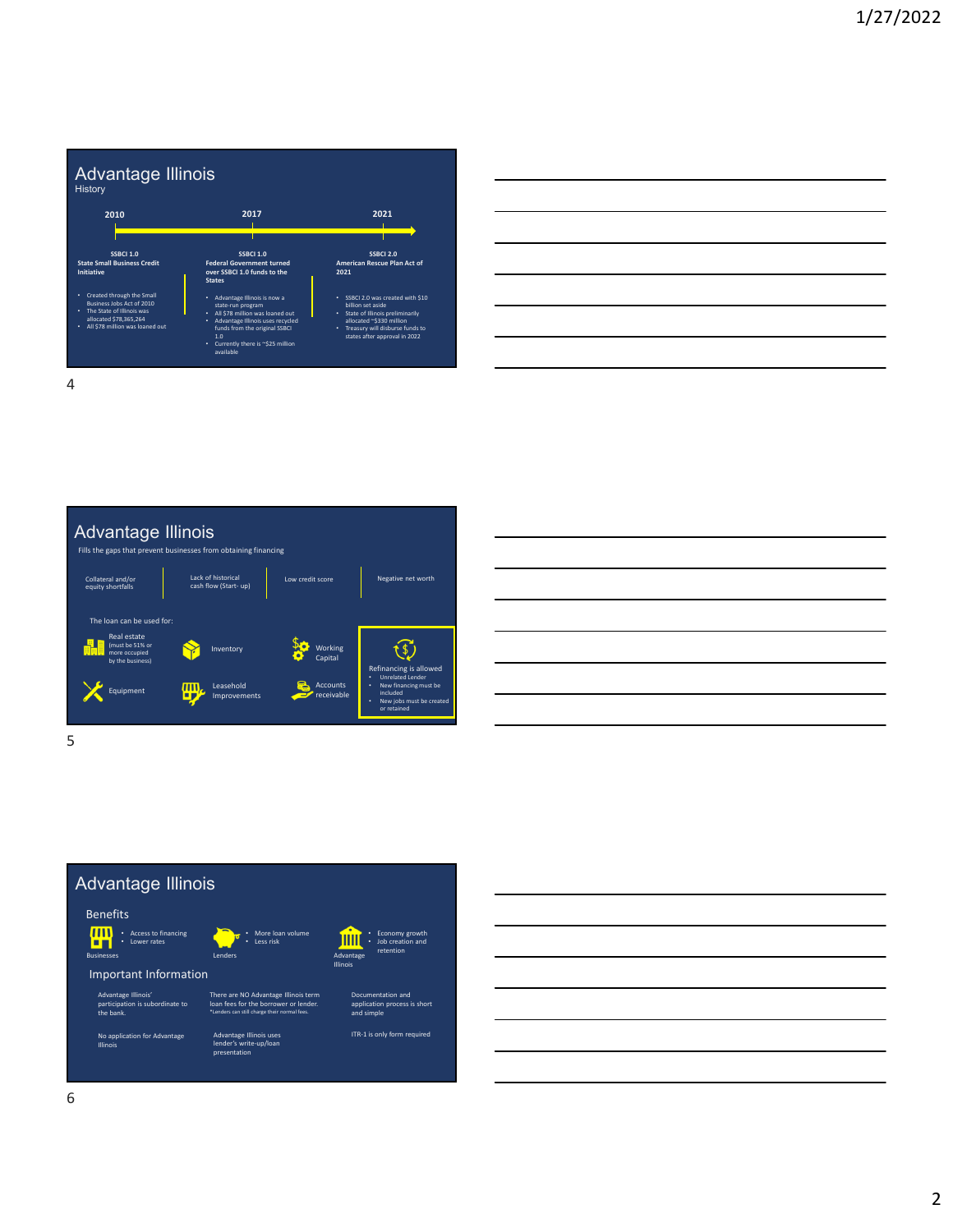

| <u> 1999 - Jan James James James James James James James James James James James James James James James James J</u>   |  |                                           |
|------------------------------------------------------------------------------------------------------------------------|--|-------------------------------------------|
|                                                                                                                        |  |                                           |
|                                                                                                                        |  |                                           |
|                                                                                                                        |  |                                           |
| <u> 1989 - Johann Barn, mars ann an t-Amhainn an t-Amhainn an t-Amhainn an t-Amhainn an t-Amhainn an t-Amhainn an</u>  |  |                                           |
| <u> 1989 - Johann Stein, markin fan it ferfanging fan de ferfanging fan de ferfanging fan de ferfanging fan de fer</u> |  |                                           |
|                                                                                                                        |  | <u> London a long a long and a long a</u> |
|                                                                                                                        |  |                                           |







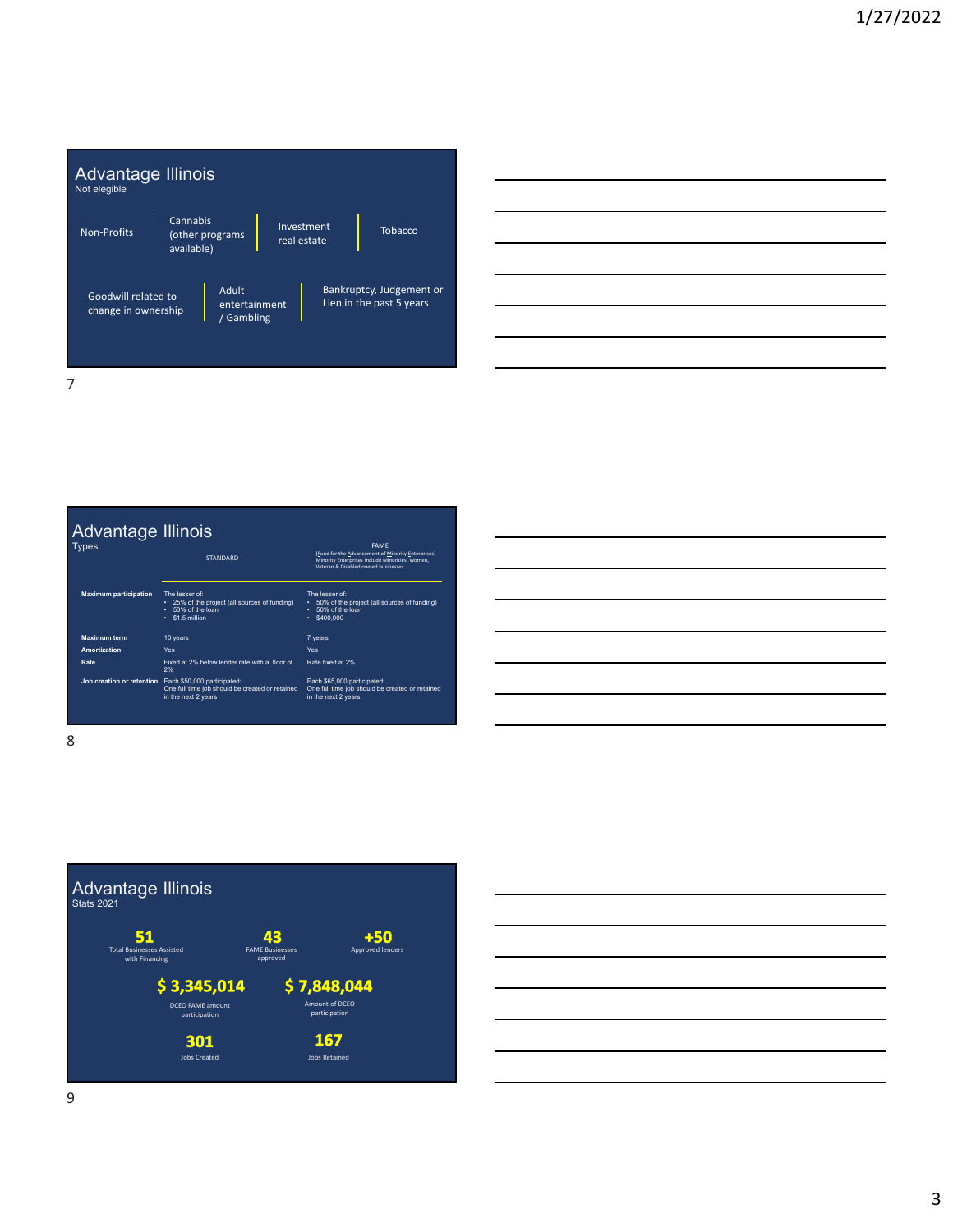

|                              | Advantage Illinois                                                                                                              |                                                                                                                                                             |
|------------------------------|---------------------------------------------------------------------------------------------------------------------------------|-------------------------------------------------------------------------------------------------------------------------------------------------------------|
| <b>Types</b>                 | <b>STANDARD</b>                                                                                                                 | <b>FAMF</b><br>(Fund for the Advancement of Minority Enterprises)<br>Minority Enterprises include Minorities, Women,<br>Veteran & Disabled owned businesses |
| <b>Maximum participation</b> | The lesser of:<br>• 25% of the project (all sources of funding)<br>$\cdot$ 50% of the loan<br>$\cdot$ \$1.5 million             | The lesser of:<br>• 50% of the project (all sources of funding)<br>50% of the loan<br>\$400,000<br>٠                                                        |
| <b>Maximum term</b>          | 10 years                                                                                                                        | 7 years                                                                                                                                                     |
| Amortization                 | Yes                                                                                                                             | Yes                                                                                                                                                         |
| Rate                         | Fixed at 2% below lender rate with a floor of<br>2%                                                                             | Rate fixed at 2%                                                                                                                                            |
|                              | Job creation or retention Each \$50,000 participated:<br>One full time job should be created or retained<br>in the next 2 years | Each \$65,000 participated:<br>One full time job should be created or retained<br>in the next 2 years                                                       |

| <u> 1989 - Johann Stoff, deutscher Stoff, der Stoff, der Stoff, der Stoff, der Stoff, der Stoff, der Stoff, der S</u>  |  |  |
|------------------------------------------------------------------------------------------------------------------------|--|--|
| <u> 1989 - Johann Barn, mars ann an t-Amhain ann an t-Amhain ann an t-Amhain ann an t-Amhain an t-Amhain ann an t-</u> |  |  |
| <u> 1989 - Johann Stoff, amerikansk politiker (d. 1989)</u>                                                            |  |  |
|                                                                                                                        |  |  |
| <u> 1989 - Johann Barn, amerikansk politiker (d. 1989)</u>                                                             |  |  |
| <u> 1989 - Johann Barn, mars ann an t-Amhain ann an t-Amhain ann an t-Amhain ann an t-Amhain an t-Amhain ann an t-</u> |  |  |
|                                                                                                                        |  |  |

8



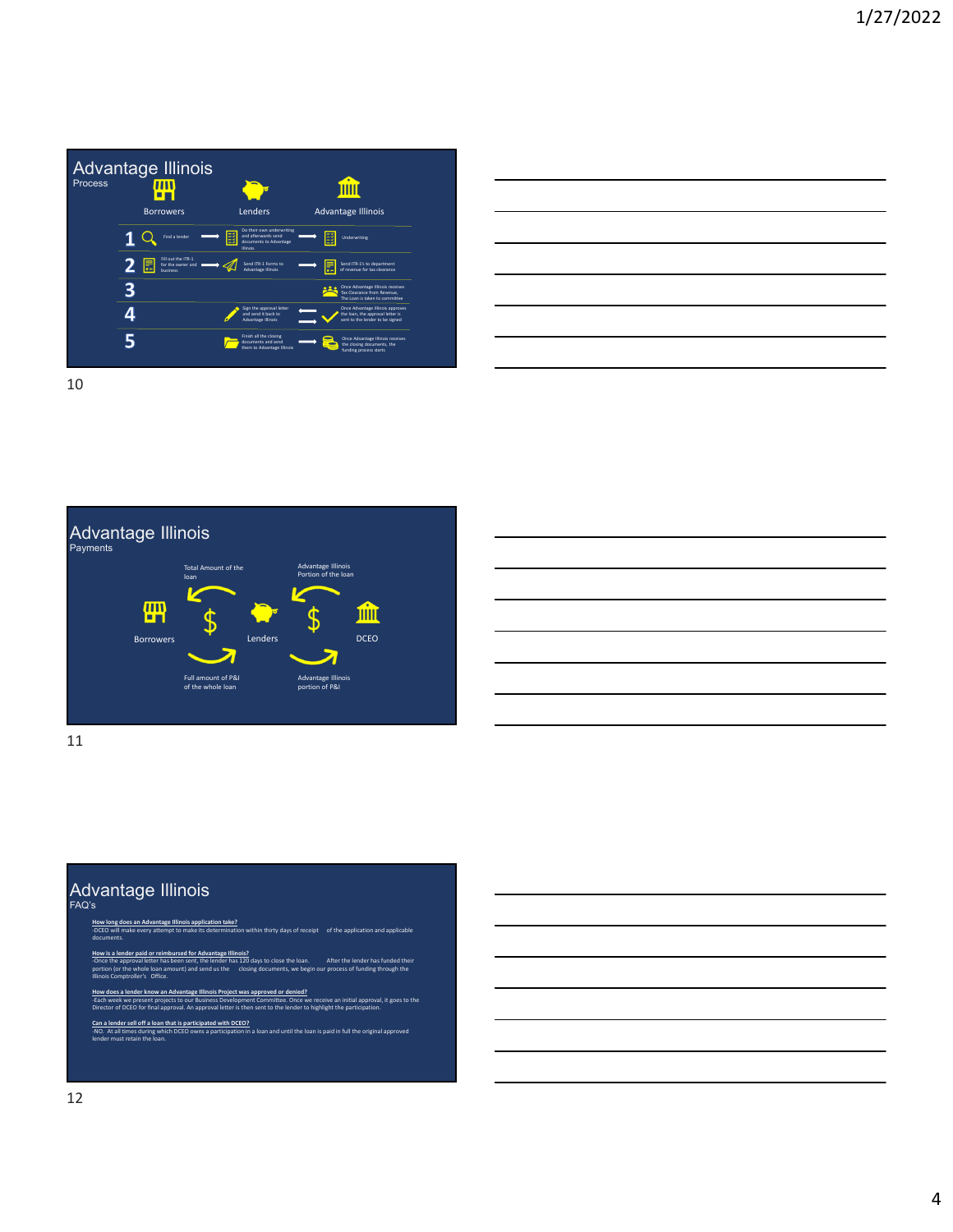

|                                                                                                 | ______ |
|-------------------------------------------------------------------------------------------------|--------|
|                                                                                                 |        |
|                                                                                                 |        |
|                                                                                                 |        |
|                                                                                                 |        |
|                                                                                                 |        |
|                                                                                                 | ______ |
| the contract of the contract of the contract of the contract of the contract of the contract of |        |

Advantage Illinois Payments Fotal Amount of the Advantage Illinois loan 冊 血 DCEO Borrowers **Lenders** Full amount of P&I of the whole loan Advantage Illinois portion of P&I

11

## Advantage Illinois FAQ's

- **How long does an Advantage Illinois application take?** documents.
- **ir paid or reimbursed for Advantage Illinois?<br>roval letter has been sent, the lender has 120 days to cle** n sent, the lender lender has been sent, the lender i portion (or the whole loan amount) and send us the closing documents, we begin our process of funding through the
- Illinois Comptroller's Office.
- **How does a lender know an Advantage Illinois Project was approved or denied?** ent we present projects to our Business Bevelopment committee. Once we receive an initial approval, an approval letter is then sent to the lender to highlight the particip Director of DCEO for final approval. An approval letter is then sent to the lender to highlight the participation.

in within thirty days of receipt of the application and applicable

<u>Can a lender sell off a loan that is participated with DCEO?</u><br>-NO. At all times during which DCEO owns a participation in a loan and until the loan is paid in full the original approved<br>lender must retain the loan.